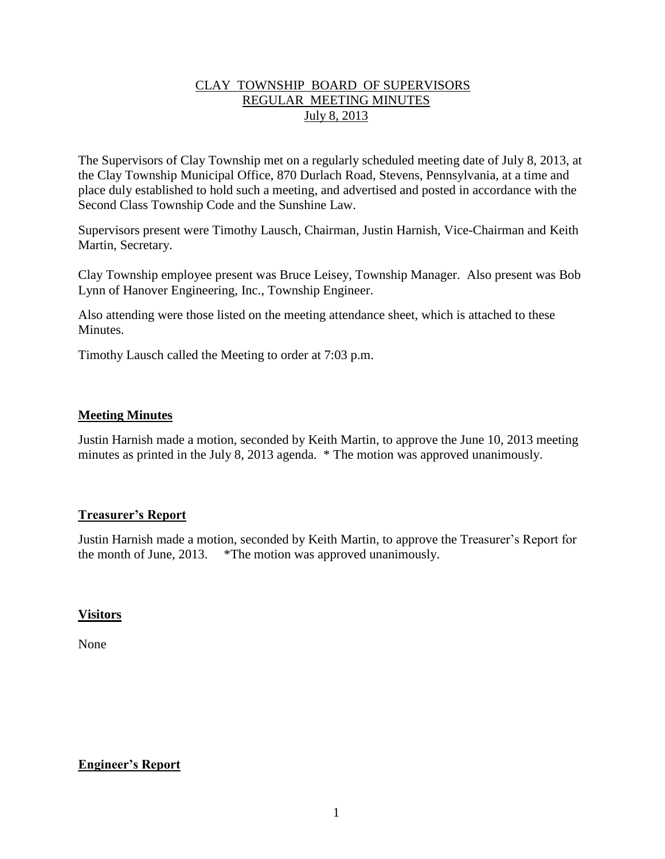## CLAY TOWNSHIP BOARD OF SUPERVISORS REGULAR MEETING MINUTES July 8, 2013

The Supervisors of Clay Township met on a regularly scheduled meeting date of July 8, 2013, at the Clay Township Municipal Office, 870 Durlach Road, Stevens, Pennsylvania, at a time and place duly established to hold such a meeting, and advertised and posted in accordance with the Second Class Township Code and the Sunshine Law.

Supervisors present were Timothy Lausch, Chairman, Justin Harnish, Vice-Chairman and Keith Martin, Secretary.

Clay Township employee present was Bruce Leisey, Township Manager. Also present was Bob Lynn of Hanover Engineering, Inc., Township Engineer.

Also attending were those listed on the meeting attendance sheet, which is attached to these Minutes.

Timothy Lausch called the Meeting to order at 7:03 p.m.

### **Meeting Minutes**

Justin Harnish made a motion, seconded by Keith Martin, to approve the June 10, 2013 meeting minutes as printed in the July 8, 2013 agenda. \* The motion was approved unanimously.

### **Treasurer's Report**

Justin Harnish made a motion, seconded by Keith Martin, to approve the Treasurer's Report for the month of June, 2013. \*The motion was approved unanimously.

### **Visitors**

None

## **Engineer's Report**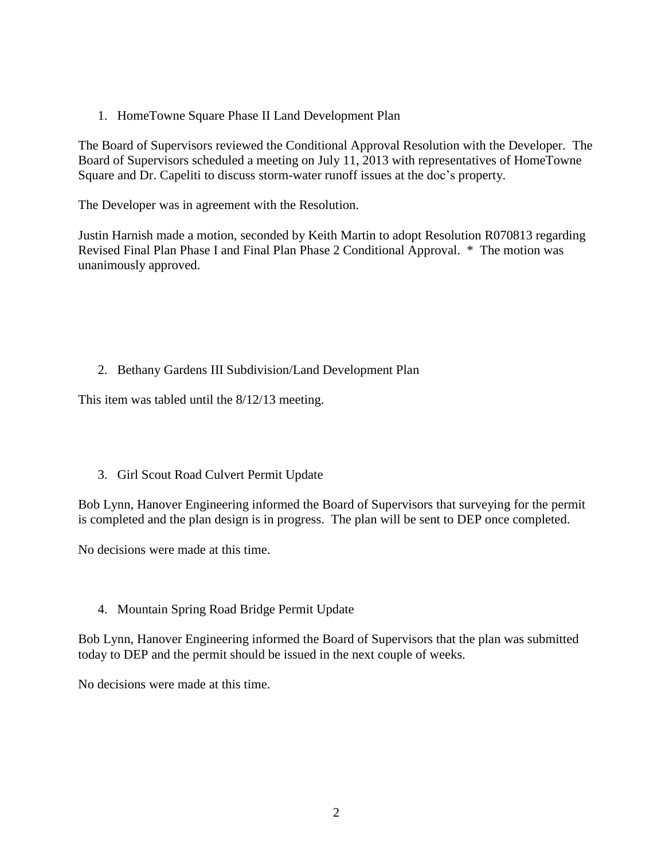1. HomeTowne Square Phase II Land Development Plan

The Board of Supervisors reviewed the Conditional Approval Resolution with the Developer. The Board of Supervisors scheduled a meeting on July 11, 2013 with representatives of HomeTowne Square and Dr. Capeliti to discuss storm-water runoff issues at the doc's property.

The Developer was in agreement with the Resolution.

Justin Harnish made a motion, seconded by Keith Martin to adopt Resolution R070813 regarding Revised Final Plan Phase I and Final Plan Phase 2 Conditional Approval. \* The motion was unanimously approved.

### 2. Bethany Gardens III Subdivision/Land Development Plan

This item was tabled until the 8/12/13 meeting.

### 3. Girl Scout Road Culvert Permit Update

Bob Lynn, Hanover Engineering informed the Board of Supervisors that surveying for the permit is completed and the plan design is in progress. The plan will be sent to DEP once completed.

No decisions were made at this time.

### 4. Mountain Spring Road Bridge Permit Update

Bob Lynn, Hanover Engineering informed the Board of Supervisors that the plan was submitted today to DEP and the permit should be issued in the next couple of weeks.

No decisions were made at this time.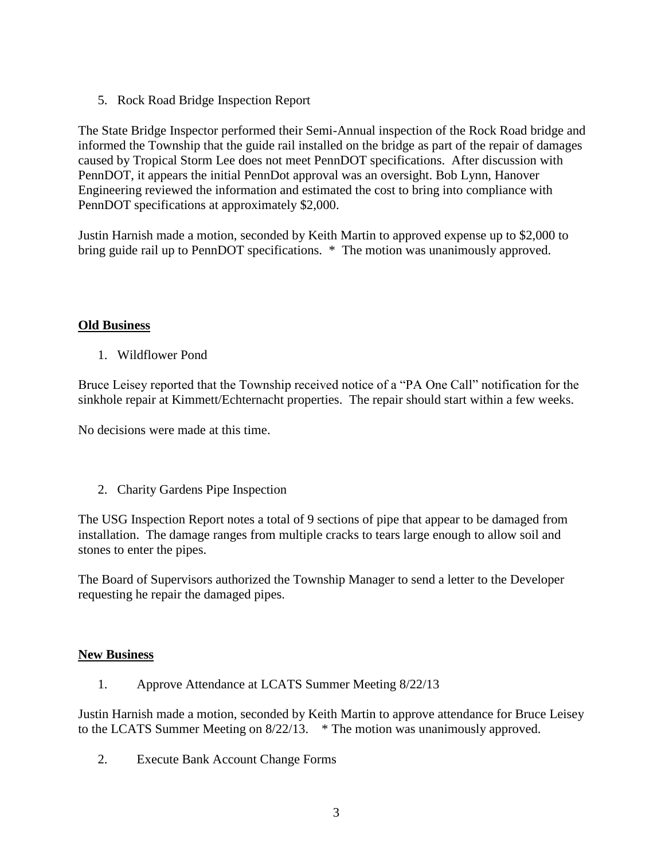5. Rock Road Bridge Inspection Report

The State Bridge Inspector performed their Semi-Annual inspection of the Rock Road bridge and informed the Township that the guide rail installed on the bridge as part of the repair of damages caused by Tropical Storm Lee does not meet PennDOT specifications. After discussion with PennDOT, it appears the initial PennDot approval was an oversight. Bob Lynn, Hanover Engineering reviewed the information and estimated the cost to bring into compliance with PennDOT specifications at approximately \$2,000.

Justin Harnish made a motion, seconded by Keith Martin to approved expense up to \$2,000 to bring guide rail up to PennDOT specifications. \* The motion was unanimously approved.

## **Old Business**

1. Wildflower Pond

Bruce Leisey reported that the Township received notice of a "PA One Call" notification for the sinkhole repair at Kimmett/Echternacht properties. The repair should start within a few weeks.

No decisions were made at this time.

2. Charity Gardens Pipe Inspection

The USG Inspection Report notes a total of 9 sections of pipe that appear to be damaged from installation. The damage ranges from multiple cracks to tears large enough to allow soil and stones to enter the pipes.

The Board of Supervisors authorized the Township Manager to send a letter to the Developer requesting he repair the damaged pipes.

## **New Business**

1. Approve Attendance at LCATS Summer Meeting 8/22/13

Justin Harnish made a motion, seconded by Keith Martin to approve attendance for Bruce Leisey to the LCATS Summer Meeting on 8/22/13. \* The motion was unanimously approved.

2. Execute Bank Account Change Forms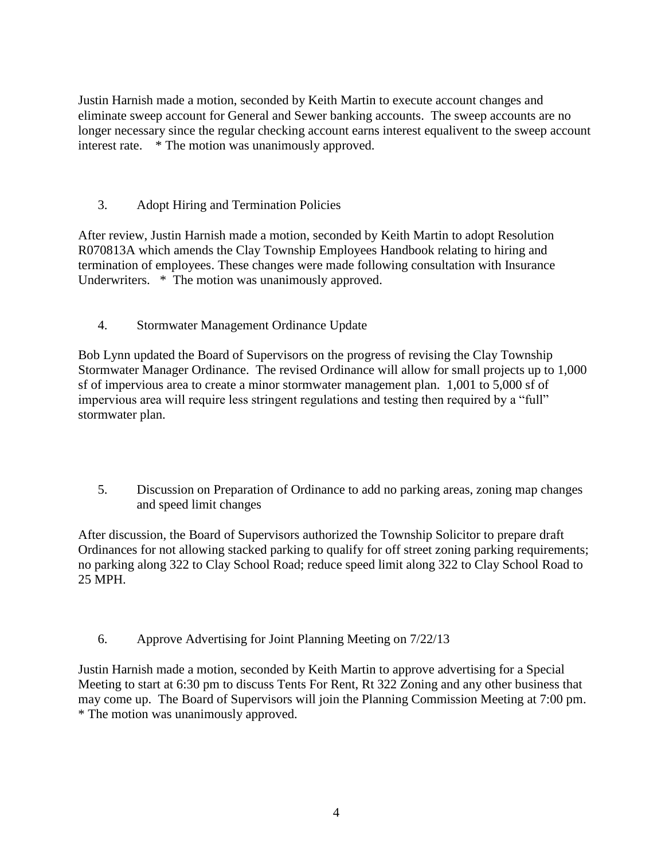Justin Harnish made a motion, seconded by Keith Martin to execute account changes and eliminate sweep account for General and Sewer banking accounts. The sweep accounts are no longer necessary since the regular checking account earns interest equalivent to the sweep account interest rate. \* The motion was unanimously approved.

3. Adopt Hiring and Termination Policies

After review, Justin Harnish made a motion, seconded by Keith Martin to adopt Resolution R070813A which amends the Clay Township Employees Handbook relating to hiring and termination of employees. These changes were made following consultation with Insurance Underwriters. \* The motion was unanimously approved.

4. Stormwater Management Ordinance Update

Bob Lynn updated the Board of Supervisors on the progress of revising the Clay Township Stormwater Manager Ordinance. The revised Ordinance will allow for small projects up to 1,000 sf of impervious area to create a minor stormwater management plan. 1,001 to 5,000 sf of impervious area will require less stringent regulations and testing then required by a "full" stormwater plan.

5. Discussion on Preparation of Ordinance to add no parking areas, zoning map changes and speed limit changes

After discussion, the Board of Supervisors authorized the Township Solicitor to prepare draft Ordinances for not allowing stacked parking to qualify for off street zoning parking requirements; no parking along 322 to Clay School Road; reduce speed limit along 322 to Clay School Road to 25 MPH.

6. Approve Advertising for Joint Planning Meeting on 7/22/13

Justin Harnish made a motion, seconded by Keith Martin to approve advertising for a Special Meeting to start at 6:30 pm to discuss Tents For Rent, Rt 322 Zoning and any other business that may come up. The Board of Supervisors will join the Planning Commission Meeting at 7:00 pm. \* The motion was unanimously approved.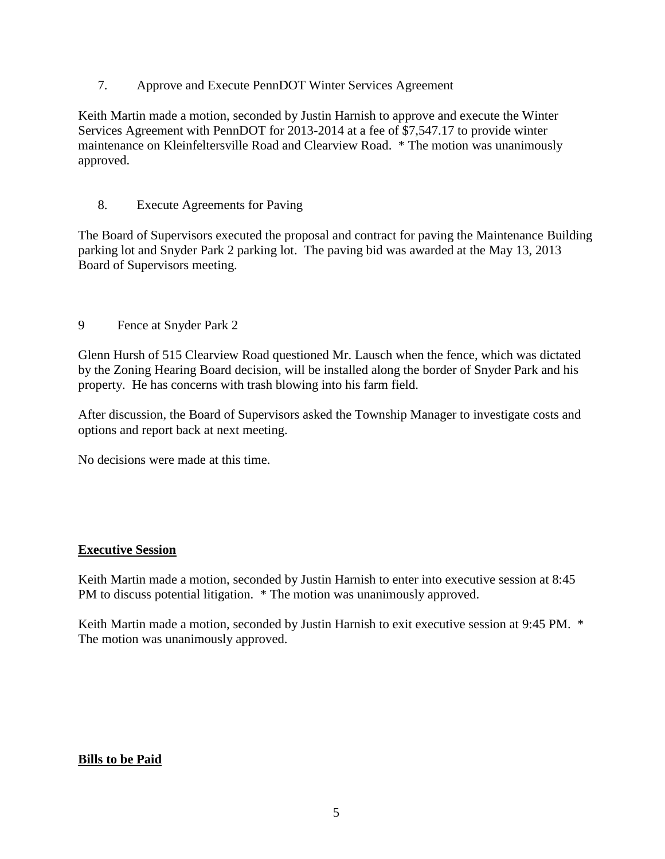7. Approve and Execute PennDOT Winter Services Agreement

Keith Martin made a motion, seconded by Justin Harnish to approve and execute the Winter Services Agreement with PennDOT for 2013-2014 at a fee of \$7,547.17 to provide winter maintenance on Kleinfeltersville Road and Clearview Road. \* The motion was unanimously approved.

## 8. Execute Agreements for Paving

The Board of Supervisors executed the proposal and contract for paving the Maintenance Building parking lot and Snyder Park 2 parking lot. The paving bid was awarded at the May 13, 2013 Board of Supervisors meeting.

9 Fence at Snyder Park 2

Glenn Hursh of 515 Clearview Road questioned Mr. Lausch when the fence, which was dictated by the Zoning Hearing Board decision, will be installed along the border of Snyder Park and his property. He has concerns with trash blowing into his farm field.

After discussion, the Board of Supervisors asked the Township Manager to investigate costs and options and report back at next meeting.

No decisions were made at this time.

## **Executive Session**

Keith Martin made a motion, seconded by Justin Harnish to enter into executive session at 8:45 PM to discuss potential litigation. \* The motion was unanimously approved.

Keith Martin made a motion, seconded by Justin Harnish to exit executive session at 9:45 PM. \* The motion was unanimously approved.

## **Bills to be Paid**